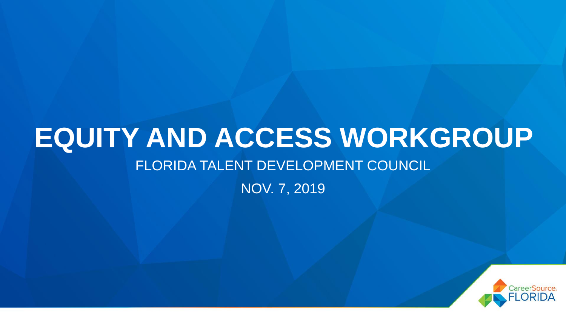## **EQUITY AND ACCESS WORKGROUP** FLORIDA TALENT DEVELOPMENT COUNCIL

### NOV. 7, 2019

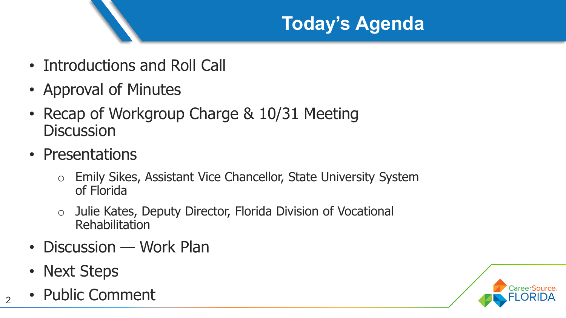### **Today's Agenda**

- Introductions and Roll Call
- Approval of Minutes
- Recap of Workgroup Charge & 10/31 Meeting **Discussion**
- Presentations
	- o Emily Sikes, Assistant Vice Chancellor, State University System of Florida
	- o Julie Kates, Deputy Director, Florida Division of Vocational Rehabilitation
- Discussion Work Plan
- Next Steps
- Public Comment

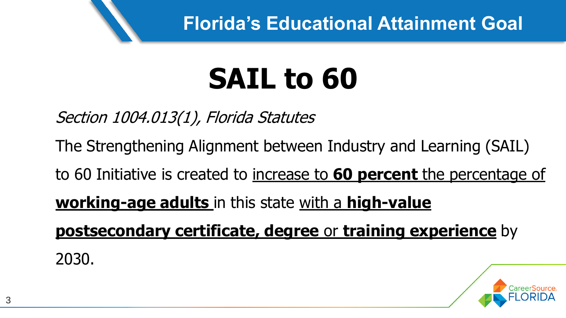### **Florida's Educational Attainment Goal**

# **SAIL to 60**

Section 1004.013(1), Florida Statutes

The Strengthening Alignment between Industry and Learning (SAIL)

to 60 Initiative is created to increase to **60 percent** the percentage of

**working-age adults** in this state with a **high-value** 

**postsecondary certificate, degree** or **training experience** by

2030.

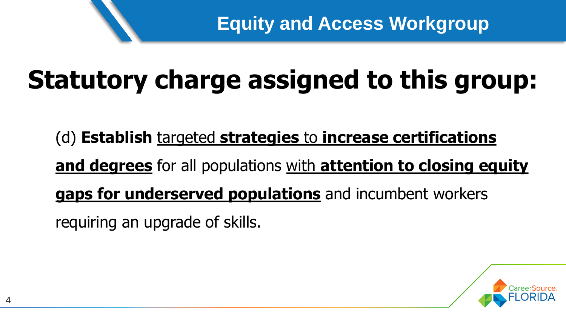### **Equity and Access Workgroup**

# **Statutory charge assigned to this group:**

(d) **Establish** targeted **strategies** to **increase certifications and degrees** for all populations with **attention to closing equity gaps for underserved populations** and incumbent workers requiring an upgrade of skills.

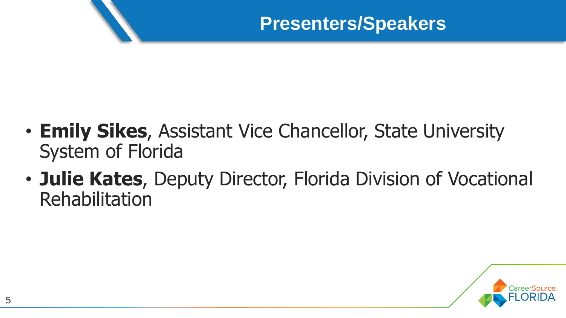- **Emily Sikes**, Assistant Vice Chancellor, State University System of Florida
- **Julie Kates**, Deputy Director, Florida Division of Vocational Rehabilitation

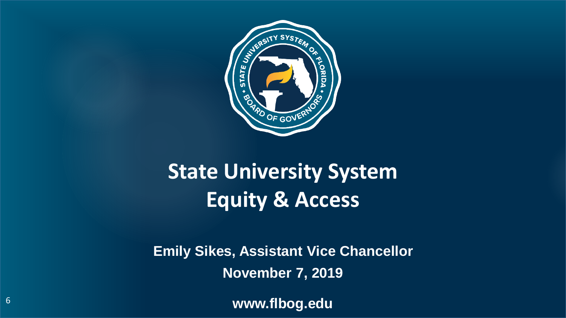

## **State University System Equity & Access**

**Emily Sikes, Assistant Vice Chancellor November 7, 2019** 

**www.flbog.edu**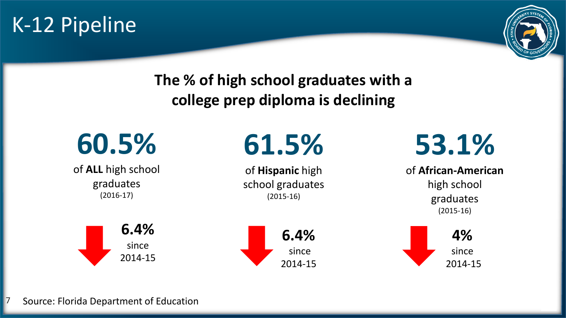### 7 Source: Florida Department of Education



**The % of high school graduates with a college prep diploma is declining**

## K-12 Pipeline

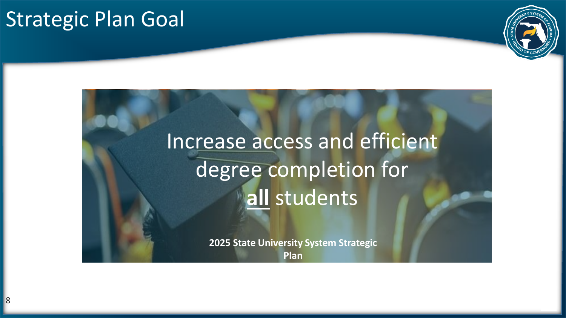## Strategic Plan Goal



## Increase access and efficient degree completion for **all** students

**2025 State University System Strategic Plan**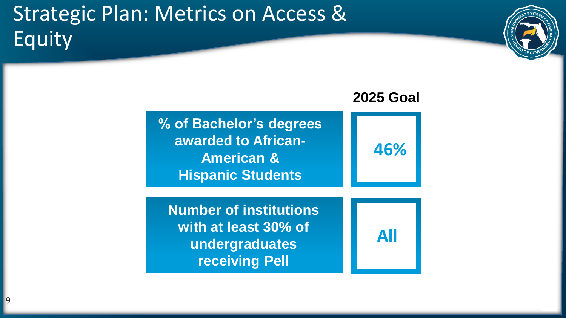## Strategic Plan: Metrics on Access & Equity





**All**

**Number of institutions with at least 30% of undergraduates receiving Pell**

9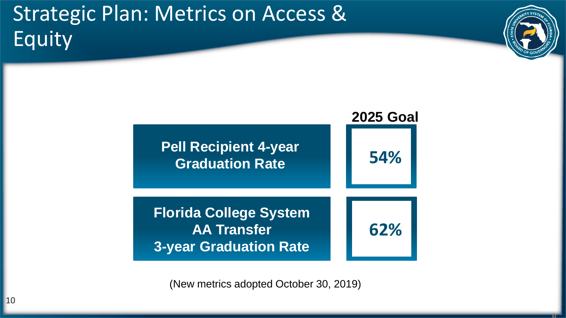## Strategic Plan: Metrics on Access & Equity



**0**



(New metrics adopted October 30, 2019)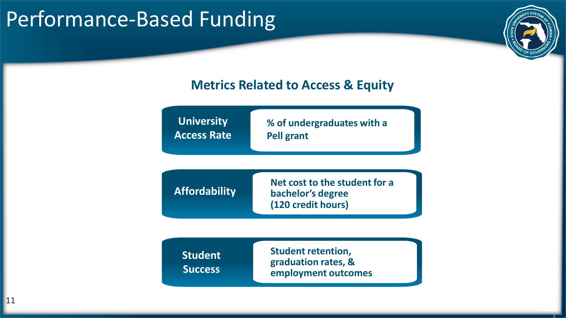## Performance-Based Funding



**1**

### **Metrics Related to Access & Equity**

| <b>Affordability</b> | Net cost to the student for a<br>bachelor's degree<br>(120 credit hours) |
|----------------------|--------------------------------------------------------------------------|
|----------------------|--------------------------------------------------------------------------|

| <b>Student</b> |  |
|----------------|--|
| <b>Success</b> |  |

**Student retention, graduation rates, & employment outcomes**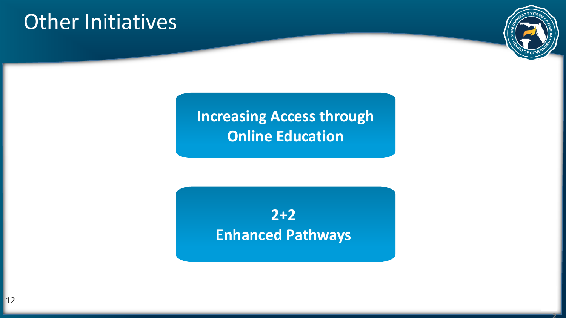### Other Initiatives



**2**

### **Increasing Access through Online Education**

### **2+2 Enhanced Pathways**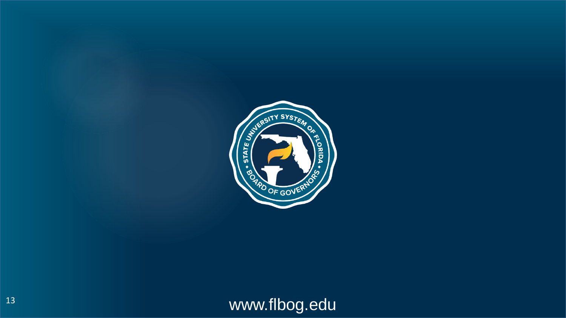

<sup>13</sup> www.flbog.edu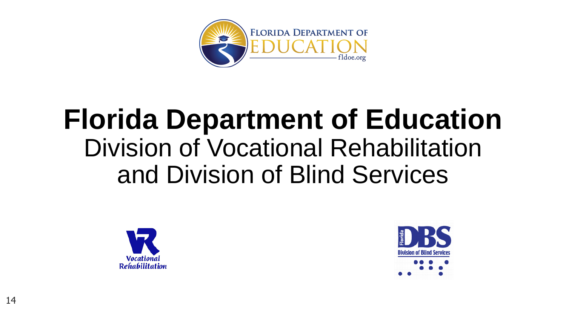

## **Florida Department of Education**  Division of Vocational Rehabilitation and Division of Blind Services



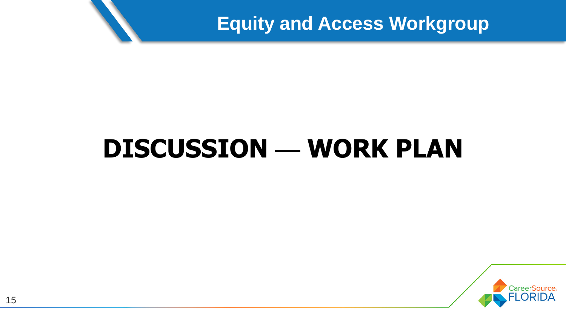**Equity and Access Workgroup**

## **DISCUSSION** — **WORK PLAN**

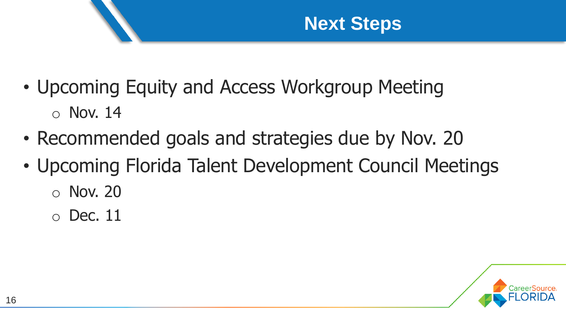- Upcoming Equity and Access Workgroup Meeting  $\circ$  Nov. 14
- Recommended goals and strategies due by Nov. 20
- Upcoming Florida Talent Development Council Meetings
	- o Nov. 20
	- $\circ$  Dec. 11

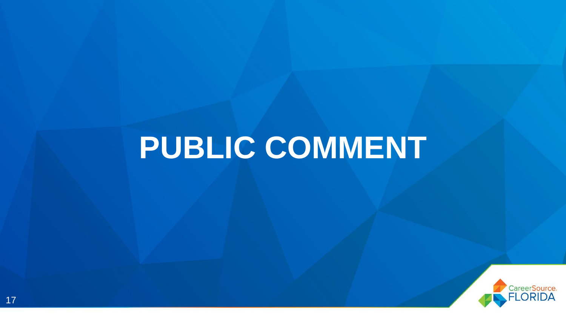# **PUBLIC COMMENT**

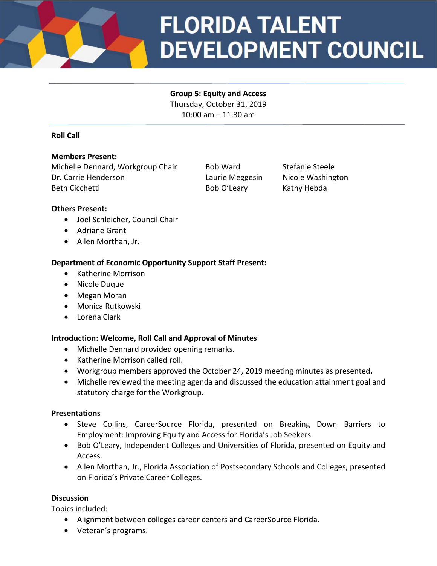

# **FLORIDA TALENT DEVELOPMENT COUNCIL**

### **Group 5: Equity and Access**

Thursday, October 31, 2019 10:00 am – 11:30 am

### **Roll Call**

### **Members Present:**

Michelle Dennard, Workgroup Chair Bob Ward Stefanie Steele Dr. Carrie Henderson Laurie Meggesin Nicole Washington Beth Cicchetti **Bob O'Leary** Kathy Hebda

### **Others Present:**

- Joel Schleicher, Council Chair
- Adriane Grant
- Allen Morthan, Jr.

### **Department of Economic Opportunity Support Staff Present:**

- Katherine Morrison
- Nicole Duque
- Megan Moran
- Monica Rutkowski
- Lorena Clark

### **Introduction: Welcome, Roll Call and Approval of Minutes**

- Michelle Dennard provided opening remarks.
- Katherine Morrison called roll.
- Workgroup members approved the October 24, 2019 meeting minutes as presented**.**
- Michelle reviewed the meeting agenda and discussed the education attainment goal and statutory charge for the Workgroup.

### **Presentations**

- Steve Collins, CareerSource Florida, presented on Breaking Down Barriers to Employment: Improving Equity and Access for Florida's Job Seekers.
- Bob O'Leary, Independent Colleges and Universities of Florida, presented on Equity and Access.
- Allen Morthan, Jr., Florida Association of Postsecondary Schools and Colleges, presented on Florida's Private Career Colleges.

### **Discussion**

Topics included:

- Alignment between colleges career centers and CareerSource Florida.
- Veteran's programs.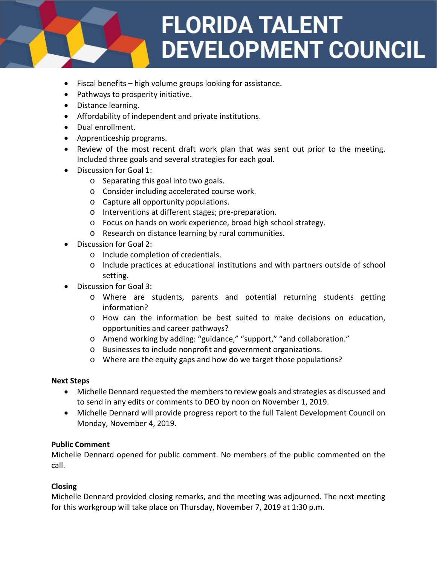

- Fiscal benefits high volume groups looking for assistance.
- Pathways to prosperity initiative.
- Distance learning.
- Affordability of independent and private institutions.
- Dual enrollment.
- Apprenticeship programs.
- Review of the most recent draft work plan that was sent out prior to the meeting. Included three goals and several strategies for each goal.
- Discussion for Goal 1:
	- o Separating this goal into two goals.
	- o Consider including accelerated course work.
	- o Capture all opportunity populations.
	- o Interventions at different stages; pre-preparation.
	- o Focus on hands on work experience, broad high school strategy.
	- o Research on distance learning by rural communities.
- Discussion for Goal 2:
	- o Include completion of credentials.
	- o Include practices at educational institutions and with partners outside of school setting.
- Discussion for Goal 3:
	- o Where are students, parents and potential returning students getting information?
	- o How can the information be best suited to make decisions on education, opportunities and career pathways?
	- o Amend working by adding: "guidance," "support," "and collaboration."
	- o Businesses to include nonprofit and government organizations.
	- o Where are the equity gaps and how do we target those populations?

### **Next Steps**

- Michelle Dennard requested the membersto review goals and strategies as discussed and to send in any edits or comments to DEO by noon on November 1, 2019.
- Michelle Dennard will provide progress report to the full Talent Development Council on Monday, November 4, 2019.

### **Public Comment**

Michelle Dennard opened for public comment. No members of the public commented on the call.

### **Closing**

Michelle Dennard provided closing remarks, and the meeting was adjourned. The next meeting for this workgroup will take place on Thursday, November 7, 2019 at 1:30 p.m.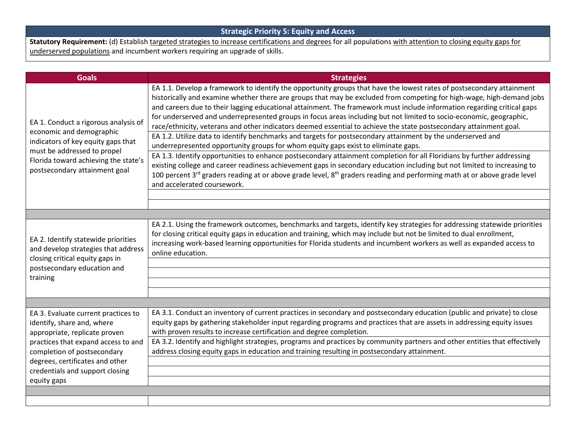#### **Strategic Priority 5: Equity and Access**

Statutory Requirement: (d) Establish targeted strategies to increase certifications and degrees for all populations with attention to closing equity gaps for underserved populations and incumbent workers requiring an upgrade of skills.

| <b>Goals</b>                                                                                                                                                                                                                                                  | <b>Strategies</b>                                                                                                                                                                                                                                                                                                                                                                                                                                                                                                                                                                                                                                                                                                                                                                                                                                                                                                                                                                                                                                                                                                                                                                                                                                                   |
|---------------------------------------------------------------------------------------------------------------------------------------------------------------------------------------------------------------------------------------------------------------|---------------------------------------------------------------------------------------------------------------------------------------------------------------------------------------------------------------------------------------------------------------------------------------------------------------------------------------------------------------------------------------------------------------------------------------------------------------------------------------------------------------------------------------------------------------------------------------------------------------------------------------------------------------------------------------------------------------------------------------------------------------------------------------------------------------------------------------------------------------------------------------------------------------------------------------------------------------------------------------------------------------------------------------------------------------------------------------------------------------------------------------------------------------------------------------------------------------------------------------------------------------------|
| EA 1. Conduct a rigorous analysis of<br>economic and demographic<br>indicators of key equity gaps that<br>must be addressed to propel<br>Florida toward achieving the state's<br>postsecondary attainment goal                                                | EA 1.1. Develop a framework to identify the opportunity groups that have the lowest rates of postsecondary attainment<br>historically and examine whether there are groups that may be excluded from competing for high-wage, high-demand jobs<br>and careers due to their lagging educational attainment. The framework must include information regarding critical gaps<br>for underserved and underrepresented groups in focus areas including but not limited to socio-economic, geographic,<br>race/ethnicity, veterans and other indicators deemed essential to achieve the state postsecondary attainment goal.<br>EA 1.2. Utilize data to identify benchmarks and targets for postsecondary attainment by the underserved and<br>underrepresented opportunity groups for whom equity gaps exist to eliminate gaps.<br>EA 1.3. Identify opportunities to enhance postsecondary attainment completion for all Floridians by further addressing<br>existing college and career readiness achievement gaps in secondary education including but not limited to increasing to<br>100 percent 3 <sup>rd</sup> graders reading at or above grade level, 8 <sup>th</sup> graders reading and performing math at or above grade level<br>and accelerated coursework. |
|                                                                                                                                                                                                                                                               |                                                                                                                                                                                                                                                                                                                                                                                                                                                                                                                                                                                                                                                                                                                                                                                                                                                                                                                                                                                                                                                                                                                                                                                                                                                                     |
| EA 2. Identify statewide priorities<br>and develop strategies that address<br>closing critical equity gaps in<br>postsecondary education and<br>training                                                                                                      | EA 2.1. Using the framework outcomes, benchmarks and targets, identify key strategies for addressing statewide priorities<br>for closing critical equity gaps in education and training, which may include but not be limited to dual enrollment,<br>increasing work-based learning opportunities for Florida students and incumbent workers as well as expanded access to<br>online education.                                                                                                                                                                                                                                                                                                                                                                                                                                                                                                                                                                                                                                                                                                                                                                                                                                                                     |
|                                                                                                                                                                                                                                                               |                                                                                                                                                                                                                                                                                                                                                                                                                                                                                                                                                                                                                                                                                                                                                                                                                                                                                                                                                                                                                                                                                                                                                                                                                                                                     |
| EA 3. Evaluate current practices to<br>identify, share and, where<br>appropriate, replicate proven<br>practices that expand access to and<br>completion of postsecondary<br>degrees, certificates and other<br>credentials and support closing<br>equity gaps | EA 3.1. Conduct an inventory of current practices in secondary and postsecondary education (public and private) to close<br>equity gaps by gathering stakeholder input regarding programs and practices that are assets in addressing equity issues<br>with proven results to increase certification and degree completion.<br>EA 3.2. Identify and highlight strategies, programs and practices by community partners and other entities that effectively<br>address closing equity gaps in education and training resulting in postsecondary attainment.                                                                                                                                                                                                                                                                                                                                                                                                                                                                                                                                                                                                                                                                                                          |
|                                                                                                                                                                                                                                                               |                                                                                                                                                                                                                                                                                                                                                                                                                                                                                                                                                                                                                                                                                                                                                                                                                                                                                                                                                                                                                                                                                                                                                                                                                                                                     |